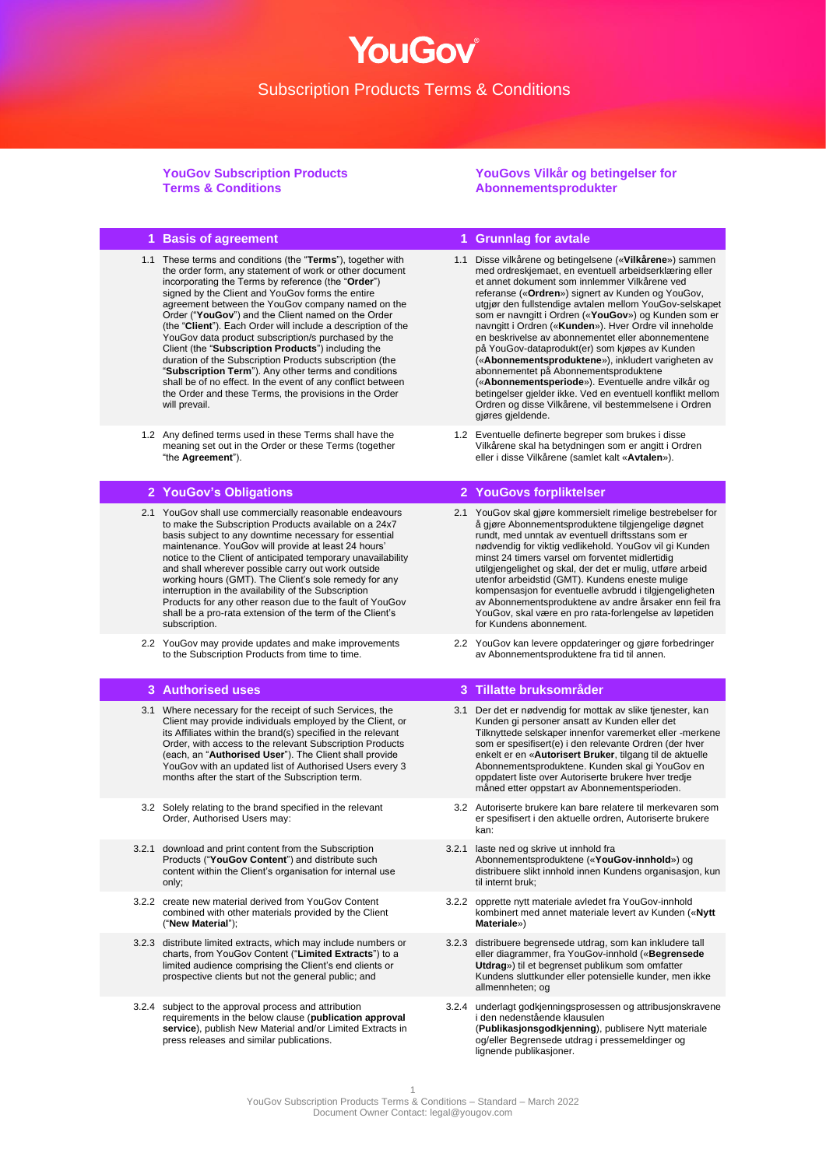**YouGov Subscription Products Terms & Conditions**

**YouGovs Vilkår og betingelser for Abonnementsprodukter**

## **1 Basis of agreement 1 Grunnlag for avtale**

- 1.1 These terms and conditions (the "**Terms**"), together with the order form, any statement of work or other document incorporating the Terms by reference (the "**Order**") signed by the Client and YouGov forms the entire agreement between the YouGov company named on the Order ("**YouGov**") and the Client named on the Order (the "**Client**"). Each Order will include a description of the YouGov data product subscription/s purchased by the Client (the "**Subscription Products**") including the duration of the Subscription Products subscription (the "**Subscription Term**"). Any other terms and conditions shall be of no effect. In the event of any conflict between the Order and these Terms, the provisions in the Order will prevail.
- 1.2 Any defined terms used in these Terms shall have the meaning set out in the Order or these Terms (together "the **Agreement**").

- 2.1 YouGov shall use commercially reasonable endeavours to make the Subscription Products available on a 24x7 basis subject to any downtime necessary for essential maintenance. YouGov will provide at least 24 hours' notice to the Client of anticipated temporary unavailability and shall wherever possible carry out work outside working hours (GMT). The Client's sole remedy for any interruption in the availability of the Subscription Products for any other reason due to the fault of YouGov shall be a pro-rata extension of the term of the Client's subscription.
- 2.2 YouGov may provide updates and make improvements to the Subscription Products from time to time.

- 3.1 Where necessary for the receipt of such Services, the Client may provide individuals employed by the Client, or its Affiliates within the brand(s) specified in the relevant Order, with access to the relevant Subscription Products (each, an "**Authorised User**"). The Client shall provide YouGov with an updated list of Authorised Users every 3 months after the start of the Subscription term.
- 3.2 Solely relating to the brand specified in the relevant Order, Authorised Users may:
- 3.2.1 download and print content from the Subscription Products ("**YouGov Content**") and distribute such content within the Client's organisation for internal use only;
- 3.2.2 create new material derived from YouGov Content combined with other materials provided by the Client ("**New Material**");
- 3.2.3 distribute limited extracts, which may include numbers or charts, from YouGov Content ("**Limited Extracts**") to a limited audience comprising the Client's end clients or prospective clients but not the general public; and
- 3.2.4 subject to the approval process and attribution requirements in the below clause (**publication approval service**), publish New Material and/or Limited Extracts in press releases and similar publications.
- 1.1 Disse vilkårene og betingelsene («**Vilkårene**») sammen med ordreskjemaet, en eventuell arbeidserklæring eller et annet dokument som innlemmer Vilkårene ved referanse («**Ordren**») signert av Kunden og YouGov, utgjør den fullstendige avtalen mellom YouGov-selskapet som er navngitt i Ordren («**YouGov**») og Kunden som er navngitt i Ordren («**Kunden**»). Hver Ordre vil inneholde en beskrivelse av abonnementet eller abonnementene på YouGov-dataprodukt(er) som kjøpes av Kunden («**Abonnementsproduktene**»), inkludert varigheten av abonnementet på Abonnementsproduktene («**Abonnementsperiode**»). Eventuelle andre vilkår og betingelser gjelder ikke. Ved en eventuell konflikt mellom Ordren og disse Vilkårene, vil bestemmelsene i Ordren gjøres gjeldende.
- 1.2 Eventuelle definerte begreper som brukes i disse Vilkårene skal ha betydningen som er angitt i Ordren eller i disse Vilkårene (samlet kalt «**Avtalen**»).

#### **2 YouGov's Obligations 2 YouGovs forpliktelser**

- 2.1 YouGov skal gjøre kommersielt rimelige bestrebelser for å gjøre Abonnementsproduktene tilgjengelige døgnet rundt, med unntak av eventuell driftsstans som er nødvendig for viktig vedlikehold. YouGov vil gi Kunden minst 24 timers varsel om forventet midlertidig utilgjengelighet og skal, der det er mulig, utføre arbeid utenfor arbeidstid (GMT). Kundens eneste mulige kompensasjon for eventuelle avbrudd i tilgjengeligheten av Abonnementsproduktene av andre årsaker enn feil fra YouGov, skal være en pro rata-forlengelse av løpetiden for Kundens abonnement.
- 2.2 YouGov kan levere oppdateringer og gjøre forbedringer av Abonnementsproduktene fra tid til annen.

#### **3 Authorised uses 3 Tillatte bruksområder**

- 3.1 Der det er nødvendig for mottak av slike tjenester, kan Kunden gi personer ansatt av Kunden eller det Tilknyttede selskaper innenfor varemerket eller -merkene som er spesifisert(e) i den relevante Ordren (der hver enkelt er en «**Autorisert Bruker**, tilgang til de aktuelle Abonnementsproduktene. Kunden skal gi YouGov en oppdatert liste over Autoriserte brukere hver tredje måned etter oppstart av Abonnementsperioden.
- 3.2 Autoriserte brukere kan bare relatere til merkevaren som er spesifisert i den aktuelle ordren, Autoriserte brukere kan:
- 3.2.1 laste ned og skrive ut innhold fra Abonnementsproduktene («**YouGov-innhold**») og distribuere slikt innhold innen Kundens organisasjon, kun til internt bruk;
- 3.2.2 opprette nytt materiale avledet fra YouGov-innhold kombinert med annet materiale levert av Kunden («**Nytt Materiale**»)
- 3.2.3 distribuere begrensede utdrag, som kan inkludere tall eller diagrammer, fra YouGov-innhold («**Begrensede Utdrag**») til et begrenset publikum som omfatter Kundens sluttkunder eller potensielle kunder, men ikke allmennheten; og
- 3.2.4 underlagt godkjenningsprosessen og attribusjonskravene i den nedenstående klausulen (**Publikasjonsgodkjenning**), publisere Nytt materiale og/eller Begrensede utdrag i pressemeldinger og lignende publikasjoner.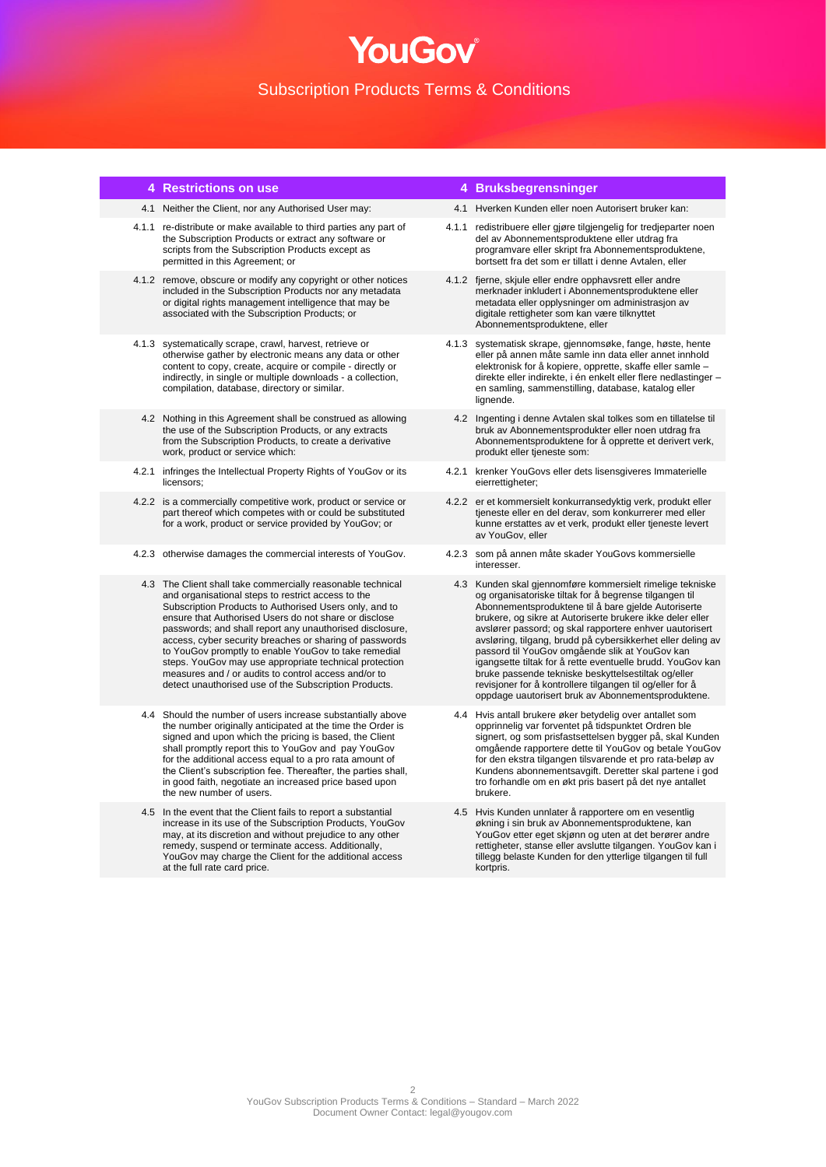## **4 Restrictions on use 4 Bruksbegrensninger**

- 4.1 Neither the Client, nor any Authorised User may: 4.1 Hverken Kunden eller noen Autorisert bruker kan:
- 4.1.1 re-distribute or make available to third parties any part of the Subscription Products or extract any software or scripts from the Subscription Products except as permitted in this Agreement; or
- 4.1.2 remove, obscure or modify any copyright or other notices included in the Subscription Products nor any metadata or digital rights management intelligence that may be associated with the Subscription Products; or
- 4.1.3 systematically scrape, crawl, harvest, retrieve or otherwise gather by electronic means any data or other content to copy, create, acquire or compile - directly or indirectly, in single or multiple downloads - a collection, compilation, database, directory or similar.
	- 4.2 Nothing in this Agreement shall be construed as allowing the use of the Subscription Products, or any extracts from the Subscription Products, to create a derivative work, product or service which:
- 4.2.1 infringes the Intellectual Property Rights of YouGov or its licensors;
- 4.2.2 is a commercially competitive work, product or service or part thereof which competes with or could be substituted for a work, product or service provided by YouGov; or
- 4.2.3 otherwise damages the commercial interests of YouGov. 4.2.3 som på annen måte skader YouGovs kommersielle
	- 4.3 The Client shall take commercially reasonable technical and organisational steps to restrict access to the Subscription Products to Authorised Users only, and to ensure that Authorised Users do not share or disclose passwords; and shall report any unauthorised disclosure, access, cyber security breaches or sharing of passwords to YouGov promptly to enable YouGov to take remedial steps. YouGov may use appropriate technical protection measures and / or audits to control access and/or to detect unauthorised use of the Subscription Products.
	- 4.4 Should the number of users increase substantially above the number originally anticipated at the time the Order is signed and upon which the pricing is based, the Client shall promptly report this to YouGov and pay YouGov for the additional access equal to a pro rata amount of the Client's subscription fee. Thereafter, the parties shall, in good faith, negotiate an increased price based upon the new number of users.
	- 4.5 In the event that the Client fails to report a substantial increase in its use of the Subscription Products, YouGov may, at its discretion and without prejudice to any other remedy, suspend or terminate access. Additionally, YouGov may charge the Client for the additional access at the full rate card price.

- 
- 4.1.1 redistribuere eller gjøre tilgjengelig for tredjeparter noen del av Abonnementsproduktene eller utdrag fra programvare eller skript fra Abonnementsproduktene, bortsett fra det som er tillatt i denne Avtalen, eller
- 4.1.2 fjerne, skjule eller endre opphavsrett eller andre merknader inkludert i Abonnementsproduktene eller metadata eller opplysninger om administrasjon av digitale rettigheter som kan være tilknyttet Abonnementsproduktene, eller
- 4.1.3 systematisk skrape, gjennomsøke, fange, høste, hente eller på annen måte samle inn data eller annet innhold elektronisk for å kopiere, opprette, skaffe eller samle – direkte eller indirekte, i én enkelt eller flere nedlastinger – en samling, sammenstilling, database, katalog eller lignende.
	- 4.2 Ingenting i denne Avtalen skal tolkes som en tillatelse til bruk av Abonnementsprodukter eller noen utdrag fra Abonnementsproduktene for å opprette et derivert verk, produkt eller tjeneste som:
- 4.2.1 krenker YouGovs eller dets lisensgiveres Immaterielle eierrettigheter;
- 4.2.2 er et kommersielt konkurransedyktig verk, produkt eller tjeneste eller en del derav, som konkurrerer med eller kunne erstattes av et verk, produkt eller tjeneste levert av YouGov, eller
- interesser.
- 4.3 Kunden skal gjennomføre kommersielt rimelige tekniske og organisatoriske tiltak for å begrense tilgangen til Abonnementsproduktene til å bare gjelde Autoriserte brukere, og sikre at Autoriserte brukere ikke deler eller avslører passord; og skal rapportere enhver uautorisert avsløring, tilgang, brudd på cybersikkerhet eller deling av passord til YouGov omgående slik at YouGov kan igangsette tiltak for å rette eventuelle brudd. YouGov kan bruke passende tekniske beskyttelsestiltak og/eller revisjoner for å kontrollere tilgangen til og/eller for å oppdage uautorisert bruk av Abonnementsproduktene.
- 4.4 Hvis antall brukere øker betydelig over antallet som opprinnelig var forventet på tidspunktet Ordren ble signert, og som prisfastsettelsen bygger på, skal Kunden omgående rapportere dette til YouGov og betale YouGov for den ekstra tilgangen tilsvarende et pro rata-beløp av Kundens abonnementsavgift. Deretter skal partene i god tro forhandle om en økt pris basert på det nye antallet brukere.
- 4.5 Hvis Kunden unnlater å rapportere om en vesentlig økning i sin bruk av Abonnementsproduktene, kan YouGov etter eget skjønn og uten at det berører andre rettigheter, stanse eller avslutte tilgangen. YouGov kan i tillegg belaste Kunden for den ytterlige tilgangen til full kortpris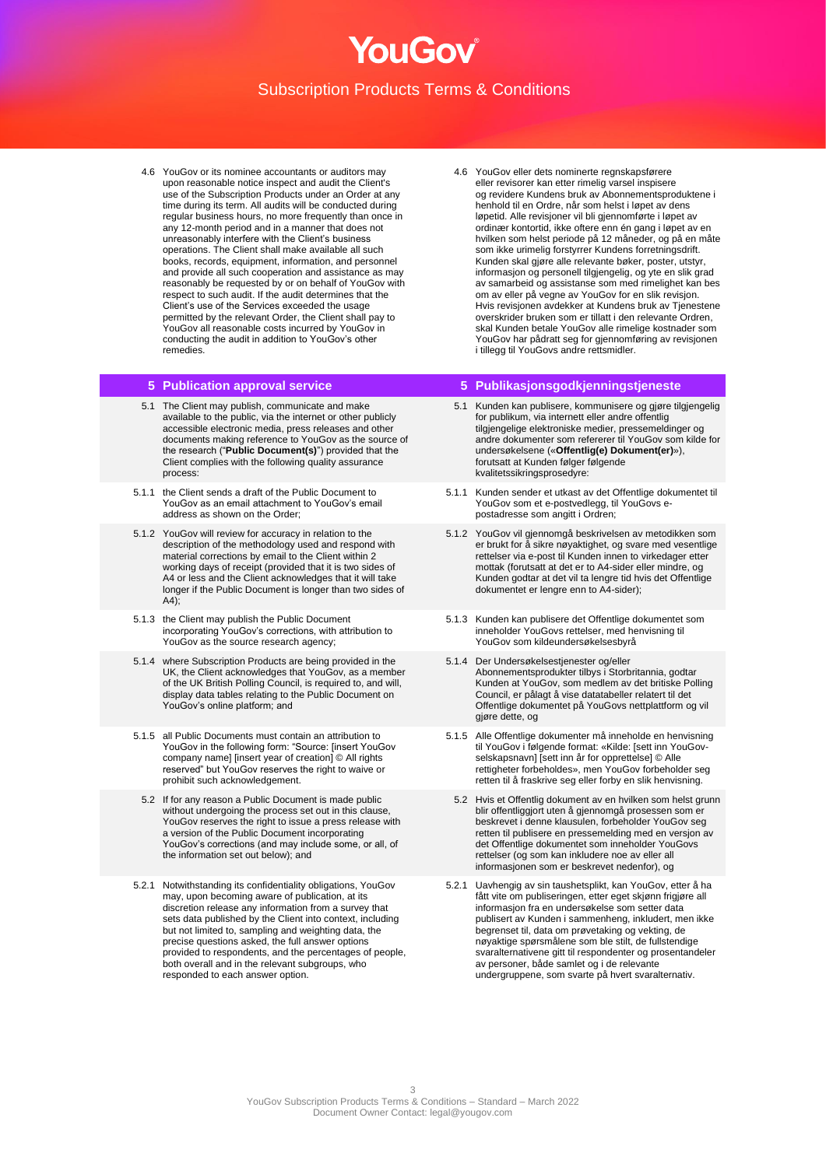4.6 YouGov or its nominee accountants or auditors may upon reasonable notice inspect and audit the Client's use of the Subscription Products under an Order at any time during its term. All audits will be conducted during regular business hours, no more frequently than once in any 12-month period and in a manner that does not unreasonably interfere with the Client's business operations. The Client shall make available all such books, records, equipment, information, and personnel and provide all such cooperation and assistance as may reasonably be requested by or on behalf of YouGov with respect to such audit. If the audit determines that the Client's use of the Services exceeded the usage permitted by the relevant Order, the Client shall pay to YouGov all reasonable costs incurred by YouGov in conducting the audit in addition to YouGov's other remedies.

- 5.1 The Client may publish, communicate and make available to the public, via the internet or other publicly accessible electronic media, press releases and other documents making reference to YouGov as the source of the research ("**Public Document(s)**") provided that the Client complies with the following quality assurance process:
- 5.1.1 the Client sends a draft of the Public Document to YouGov as an email attachment to YouGov's email address as shown on the Order;
- 5.1.2 YouGov will review for accuracy in relation to the description of the methodology used and respond with material corrections by email to the Client within 2 working days of receipt (provided that it is two sides of A4 or less and the Client acknowledges that it will take longer if the Public Document is longer than two sides of A4);
- 5.1.3 the Client may publish the Public Document incorporating YouGov's corrections, with attribution to YouGov as the source research agency;
- 5.1.4 where Subscription Products are being provided in the UK, the Client acknowledges that YouGov, as a member of the UK British Polling Council, is required to, and will, display data tables relating to the Public Document on YouGov's online platform; and
- 5.1.5 all Public Documents must contain an attribution to YouGov in the following form: "Source: [insert YouGov company name] [insert year of creation] © All rights reserved" but YouGov reserves the right to waive or prohibit such acknowledgement.
	- 5.2 If for any reason a Public Document is made public without undergoing the process set out in this clause, YouGov reserves the right to issue a press release with a version of the Public Document incorporating YouGov's corrections (and may include some, or all, of the information set out below); and
- 5.2.1 Notwithstanding its confidentiality obligations, YouGov may, upon becoming aware of publication, at its discretion release any information from a survey that sets data published by the Client into context, including but not limited to, sampling and weighting data, the precise questions asked, the full answer options provided to respondents, and the percentages of people, both overall and in the relevant subgroups, who responded to each answer option.

4.6 YouGov eller dets nominerte regnskapsførere eller revisorer kan etter rimelig varsel inspisere og revidere Kundens bruk av Abonnementsproduktene i henhold til en Ordre, når som helst i løpet av dens løpetid. Alle revisjoner vil bli gjennomførte i løpet av ordinær kontortid, ikke oftere enn én gang i løpet av en hvilken som helst periode på 12 måneder, og på en måte som ikke urimelig forstyrrer Kundens forretningsdrift. Kunden skal gjøre alle relevante bøker, poster, utstyr, informasjon og personell tilgjengelig, og yte en slik grad av samarbeid og assistanse som med rimelighet kan bes om av eller på vegne av YouGov for en slik revisjon. Hvis revisjonen avdekker at Kundens bruk av Tjenestene overskrider bruken som er tillatt i den relevante Ordren, skal Kunden betale YouGov alle rimelige kostnader som YouGov har pådratt seg for gjennomføring av revisjonen i tillegg til YouGovs andre rettsmidler.

## **5 Publication approval service 5 Publikasjonsgodkjenningstjeneste**

- 5.1 Kunden kan publisere, kommunisere og gjøre tilgjengelig for publikum, via internett eller andre offentlig tilgjengelige elektroniske medier, pressemeldinger og andre dokumenter som refererer til YouGov som kilde for undersøkelsene («**Offentlig(e) Dokument(er)**»), forutsatt at Kunden følger følgende kvalitetssikringsprosedyre:
- 5.1.1 Kunden sender et utkast av det Offentlige dokumentet til YouGov som et e-postvedlegg, til YouGovs epostadresse som angitt i Ordren;
- 5.1.2 YouGov vil gjennomgå beskrivelsen av metodikken som er brukt for å sikre nøyaktighet, og svare med vesentlige rettelser via e-post til Kunden innen to virkedager etter mottak (forutsatt at det er to A4-sider eller mindre, og Kunden godtar at det vil ta lengre tid hvis det Offentlige dokumentet er lengre enn to A4-sider);
- 5.1.3 Kunden kan publisere det Offentlige dokumentet som inneholder YouGovs rettelser, med henvisning til YouGov som kildeundersøkelsesbyrå
- 5.1.4 Der Undersøkelsestjenester og/eller Abonnementsprodukter tilbys i Storbritannia, godtar Kunden at YouGov, som medlem av det britiske Polling Council, er pålagt å vise datatabeller relatert til det Offentlige dokumentet på YouGovs nettplattform og vil gjøre dette, og
- 5.1.5 Alle Offentlige dokumenter må inneholde en henvisning til YouGov i følgende format: «Kilde: [sett inn YouGovselskapsnavn] [sett inn år for opprettelse] © Alle rettigheter forbeholdes», men YouGov forbeholder seg retten til å fraskrive seg eller forby en slik henvisning.
- 5.2 Hvis et Offentlig dokument av en hvilken som helst grunn blir offentliggjort uten å gjennomgå prosessen som er beskrevet i denne klausulen, forbeholder YouGov seg retten til publisere en pressemelding med en versjon av det Offentlige dokumentet som inneholder YouGovs rettelser (og som kan inkludere noe av eller all informasjonen som er beskrevet nedenfor), og
- 5.2.1 Uavhengig av sin taushetsplikt, kan YouGov, etter å ha fått vite om publiseringen, etter eget skjønn frigjøre all informasjon fra en undersøkelse som setter data publisert av Kunden i sammenheng, inkludert, men ikke begrenset til, data om prøvetaking og vekting, de nøyaktige spørsmålene som ble stilt, de fullstendige svaralternativene gitt til respondenter og prosentandeler av personer, både samlet og i de relevante undergruppene, som svarte på hvert svaralternativ.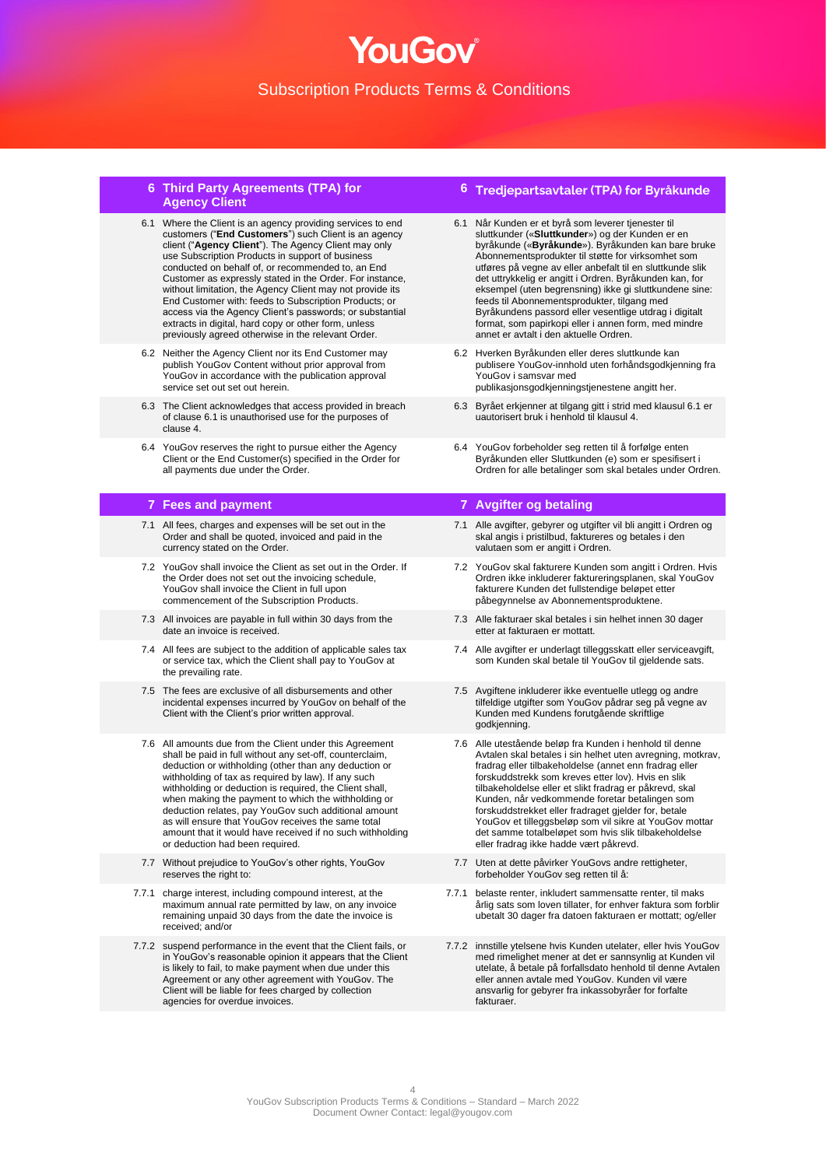## **6 Third Party Agreements (TPA) for Agency Client**

- 6.1 Where the Client is an agency providing services to end customers ("**End Customers**") such Client is an agency client ("**Agency Client**"). The Agency Client may only use Subscription Products in support of business conducted on behalf of, or recommended to, an End Customer as expressly stated in the Order. For instance, without limitation, the Agency Client may not provide its End Customer with: feeds to Subscription Products; or access via the Agency Client's passwords; or substantial extracts in digital, hard copy or other form, unless previously agreed otherwise in the relevant Order.
- 6.2 Neither the Agency Client nor its End Customer may publish YouGov Content without prior approval from YouGov in accordance with the publication approval service set out set out herein.
- 6.3 The Client acknowledges that access provided in breach of clause 6.1 is unauthorised use for the purposes of clause 4.
- 6.4 YouGov reserves the right to pursue either the Agency Client or the End Customer(s) specified in the Order for all payments due under the Order.

- 7.1 All fees, charges and expenses will be set out in the Order and shall be quoted, invoiced and paid in the currency stated on the Order.
- 7.2 YouGov shall invoice the Client as set out in the Order. If the Order does not set out the invoicing schedule, YouGov shall invoice the Client in full upon commencement of the Subscription Products.
- 7.3 All invoices are payable in full within 30 days from the date an invoice is received.
- 7.4 All fees are subject to the addition of applicable sales tax or service tax, which the Client shall pay to YouGov at the prevailing rate.
- 7.5 The fees are exclusive of all disbursements and other incidental expenses incurred by YouGov on behalf of the Client with the Client's prior written approval.
- 7.6 All amounts due from the Client under this Agreement shall be paid in full without any set-off, counterclaim, deduction or withholding (other than any deduction or withholding of tax as required by law). If any such withholding or deduction is required, the Client shall, when making the payment to which the withholding or deduction relates, pay YouGov such additional amount as will ensure that YouGov receives the same total amount that it would have received if no such withholding or deduction had been required.
- 7.7 Without prejudice to YouGov's other rights, YouGov reserves the right to
- 7.7.1 charge interest, including compound interest, at the maximum annual rate permitted by law, on any invoice remaining unpaid 30 days from the date the invoice is received; and/or
- 7.7.2 suspend performance in the event that the Client fails, or in YouGov's reasonable opinion it appears that the Client is likely to fail, to make payment when due under this Agreement or any other agreement with YouGov. The Client will be liable for fees charged by collection agencies for overdue invoices.

## **6 Tredjepartsavtaler (TPA) for Byråkunde**

- 6.1 Når Kunden er et byrå som leverer tjenester til sluttkunder («**Sluttkunder**») og der Kunden er en byråkunde («**Byråkunde**»). Byråkunden kan bare bruke Abonnementsprodukter til støtte for virksomhet som utføres på vegne av eller anbefalt til en sluttkunde slik det uttrykkelig er angitt i Ordren. Byråkunden kan, for eksempel (uten begrensning) ikke gi sluttkundene sine: feeds til Abonnementsprodukter, tilgang med Byråkundens passord eller vesentlige utdrag i digitalt format, som papirkopi eller i annen form, med mindre annet er avtalt i den aktuelle Ordren.
- 6.2 Hverken Byråkunden eller deres sluttkunde kan publisere YouGov-innhold uten forhåndsgodkjenning fra YouGov i samsvar med publikasjonsgodkjenningstjenestene angitt her.
- 6.3 Byrået erkjenner at tilgang gitt i strid med klausul 6.1 er uautorisert bruk i henhold til klausul 4.
- 6.4 YouGov forbeholder seg retten til å forfølge enten Byråkunden eller Sluttkunden (e) som er spesifisert i Ordren for alle betalinger som skal betales under Ordren.

#### **7 Fees and payment 7 Avgifter og betaling**

- 7.1 Alle avgifter, gebyrer og utgifter vil bli angitt i Ordren og skal angis i pristilbud, faktureres og betales i den valutaen som er angitt i Ordren.
- 7.2 YouGov skal fakturere Kunden som angitt i Ordren. Hvis Ordren ikke inkluderer faktureringsplanen, skal YouGov fakturere Kunden det fullstendige beløpet etter påbegynnelse av Abonnementsproduktene.
- 7.3 Alle fakturaer skal betales i sin helhet innen 30 dager etter at fakturaen er mottatt.
- 7.4 Alle avgifter er underlagt tilleggsskatt eller serviceavgift, som Kunden skal betale til YouGov til gjeldende sats.
- 7.5 Avgiftene inkluderer ikke eventuelle utlegg og andre tilfeldige utgifter som YouGov pådrar seg på vegne av Kunden med Kundens forutgående skriftlige godkjenning.
- 7.6 Alle utestående beløp fra Kunden i henhold til denne Avtalen skal betales i sin helhet uten avregning, motkrav, fradrag eller tilbakeholdelse (annet enn fradrag eller forskuddstrekk som kreves etter lov). Hvis en slik tilbakeholdelse eller et slikt fradrag er påkrevd, skal Kunden, når vedkommende foretar betalingen som forskuddstrekket eller fradraget gjelder for, betale YouGov et tilleggsbeløp som vil sikre at YouGov mottar det samme totalbeløpet som hvis slik tilbakeholdelse eller fradrag ikke hadde vært påkrevd.
- 7.7 Uten at dette påvirker YouGovs andre rettigheter, forbeholder YouGov seg retten til å:
- 7.7.1 belaste renter, inkludert sammensatte renter, til maks årlig sats som loven tillater, for enhver faktura som forblir ubetalt 30 dager fra datoen fakturaen er mottatt; og/eller
- 7.7.2 innstille ytelsene hvis Kunden utelater, eller hvis YouGov med rimelighet mener at det er sannsynlig at Kunden vil utelate, å betale på forfallsdato henhold til denne Avtalen eller annen avtale med YouGov. Kunden vil være ansvarlig for gebyrer fra inkassobyråer for forfalte fakturaer.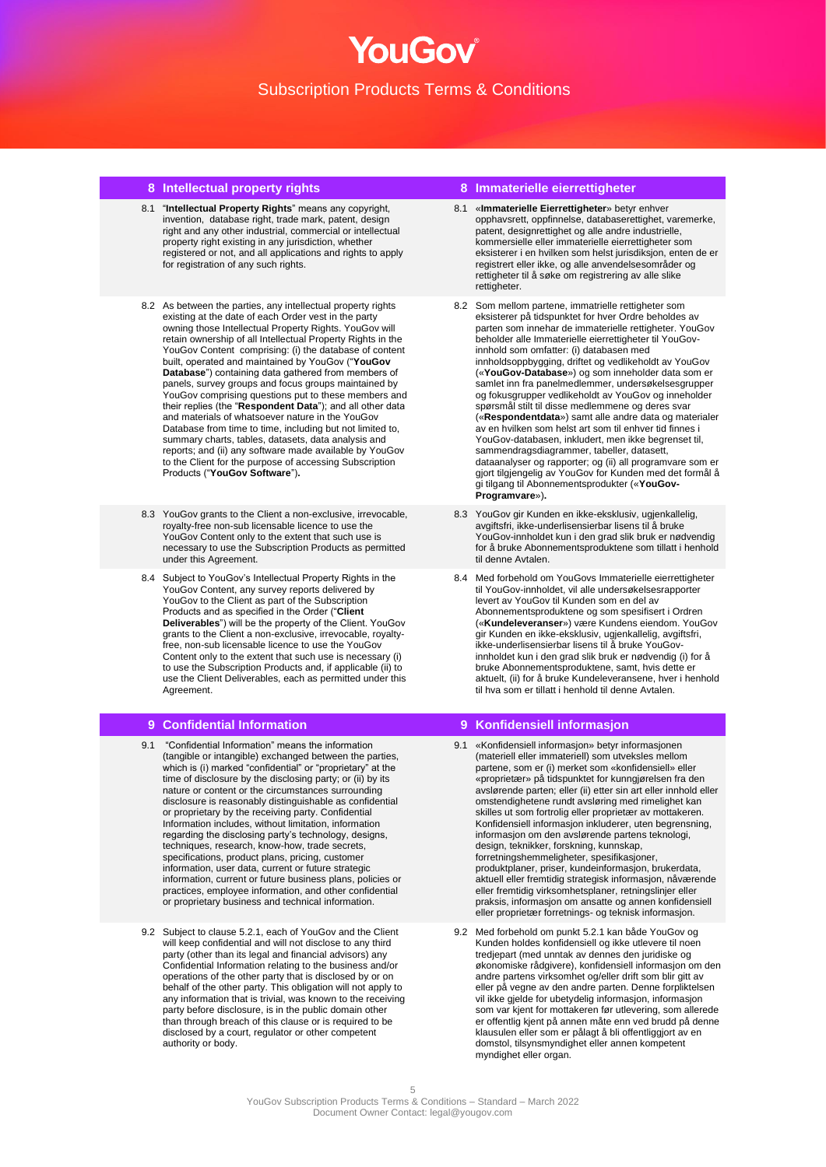- 8.1 "**Intellectual Property Rights**" means any copyright, invention, database right, trade mark, patent, design right and any other industrial, commercial or intellectual property right existing in any jurisdiction, whether registered or not, and all applications and rights to apply for registration of any such rights.
- 8.2 As between the parties, any intellectual property rights existing at the date of each Order vest in the party owning those Intellectual Property Rights. YouGov will retain ownership of all Intellectual Property Rights in the YouGov Content comprising: (i) the database of content built, operated and maintained by YouGov ("**YouGov Database**") containing data gathered from members of panels, survey groups and focus groups maintained by YouGov comprising questions put to these members and their replies (the "**Respondent Data**"); and all other data and materials of whatsoever nature in the YouGov Database from time to time, including but not limited to, summary charts, tables, datasets, data analysis and reports; and (ii) any software made available by YouGov to the Client for the purpose of accessing Subscription Products ("**YouGov Software**")**.**
- 8.3 YouGov grants to the Client a non-exclusive, irrevocable, royalty-free non-sub licensable licence to use the YouGov Content only to the extent that such use is necessary to use the Subscription Products as permitted under this Agreement.
- 8.4 Subject to YouGov's Intellectual Property Rights in the YouGov Content, any survey reports delivered by YouGov to the Client as part of the Subscription Products and as specified in the Order ("**Client Deliverables**") will be the property of the Client. YouGov grants to the Client a non-exclusive, irrevocable, royaltyfree, non-sub licensable licence to use the YouGov Content only to the extent that such use is necessary (i) to use the Subscription Products and, if applicable (ii) to use the Client Deliverables, each as permitted under this Agreement.

- 9.1 "Confidential Information" means the information (tangible or intangible) exchanged between the parties, which is (i) marked "confidential" or "proprietary" at the time of disclosure by the disclosing party; or (ii) by its nature or content or the circumstances surrounding disclosure is reasonably distinguishable as confidential or proprietary by the receiving party. Confidential Information includes, without limitation, information regarding the disclosing party's technology, designs, techniques, research, know-how, trade secrets specifications, product plans, pricing, customer information, user data, current or future strategic information, current or future business plans, policies or practices, employee information, and other confidential or proprietary business and technical information.
- 9.2 Subject to clause 5.2.1, each of YouGov and the Client will keep confidential and will not disclose to any third party (other than its legal and financial advisors) any Confidential Information relating to the business and/or operations of the other party that is disclosed by or on behalf of the other party. This obligation will not apply to any information that is trivial, was known to the receiving party before disclosure, is in the public domain other than through breach of this clause or is required to be disclosed by a court, regulator or other competent authority or body.

#### **8 Intellectual property rights 8 Immaterielle eierrettigheter**

- 8.1 «**Immaterielle Eierrettigheter**» betyr enhver opphavsrett, oppfinnelse, databaserettighet, varemerke, patent, designrettighet og alle andre industrielle, kommersielle eller immaterielle eierrettigheter som eksisterer i en hvilken som helst jurisdiksjon, enten de er registrert eller ikke, og alle anvendelsesområder og rettigheter til å søke om registrering av alle slike rettigheter.
- 8.2 Som mellom partene, immatrielle rettigheter som eksisterer på tidspunktet for hver Ordre beholdes av parten som innehar de immaterielle rettigheter. YouGov beholder alle Immaterielle eierrettigheter til YouGovinnhold som omfatter: (i) databasen med innholdsoppbygging, driftet og vedlikeholdt av YouGov («**YouGov-Database**») og som inneholder data som er samlet inn fra panelmedlemmer, undersøkelsesgrupper og fokusgrupper vedlikeholdt av YouGov og inneholder spørsmål stilt til disse medlemmene og deres svar («**Respondentdata**») samt alle andre data og materialer av en hvilken som helst art som til enhver tid finnes i YouGov-databasen, inkludert, men ikke begrenset til, sammendragsdiagrammer, tabeller, datasett, dataanalyser og rapporter; og (ii) all programvare som er gjort tilgjengelig av YouGov for Kunden med det formål å gi tilgang til Abonnementsprodukter («**YouGov-Programvare**»)**.**
- 8.3 YouGov gir Kunden en ikke-eksklusiv, ugjenkallelig, avgiftsfri, ikke-underlisensierbar lisens til å bruke YouGov-innholdet kun i den grad slik bruk er nødvendig for å bruke Abonnementsproduktene som tillatt i henhold til denne Avtalen.
- 8.4 Med forbehold om YouGovs Immaterielle eierrettigheter til YouGov-innholdet, vil alle undersøkelsesrapporter levert av YouGov til Kunden som en del av Abonnementsproduktene og som spesifisert i Ordren («**Kundeleveranser**») være Kundens eiendom. YouGov gir Kunden en ikke-eksklusiv, ugjenkallelig, avgiftsfri, ikke-underlisensierbar lisens til å bruke YouGovinnholdet kun i den grad slik bruk er nødvendig (i) for å bruke Abonnementsproduktene, samt, hvis dette er aktuelt, (ii) for å bruke Kundeleveransene, hver i henhold til hva som er tillatt i henhold til denne Avtalen.

## **9 Confidential Information 9 Konfidensiell informasjon**

- 9.1 «Konfidensiell informasjon» betyr informasjonen (materiell eller immateriell) som utveksles mellom partene, som er (i) merket som «konfidensiell» eller «proprietær» på tidspunktet for kunngjørelsen fra den avslørende parten; eller (ii) etter sin art eller innhold eller omstendighetene rundt avsløring med rimelighet kan skilles ut som fortrolig eller proprietær av mottakeren. Konfidensiell informasjon inkluderer, uten begrensning, informasjon om den avslørende partens teknologi, design, teknikker, forskning, kunnskap, forretningshemmeligheter, spesifikasjoner, produktplaner, priser, kundeinformasjon, brukerdata, aktuell eller fremtidig strategisk informasjon, nåværende eller fremtidig virksomhetsplaner, retningslinjer eller praksis, informasjon om ansatte og annen konfidensiell eller proprietær forretnings- og teknisk informasjon.
- 9.2 Med forbehold om punkt 5.2.1 kan både YouGov og Kunden holdes konfidensiell og ikke utlevere til noen tredjepart (med unntak av dennes den juridiske og økonomiske rådgivere), konfidensiell informasjon om den andre partens virksomhet og/eller drift som blir gitt av eller på vegne av den andre parten. Denne forpliktelsen vil ikke gjelde for ubetydelig informasjon, informasjon som var kjent for mottakeren før utlevering, som allerede er offentlig kjent på annen måte enn ved brudd på denne klausulen eller som er pålagt å bli offentliggjort av en domstol, tilsynsmyndighet eller annen kompetent myndighet eller organ.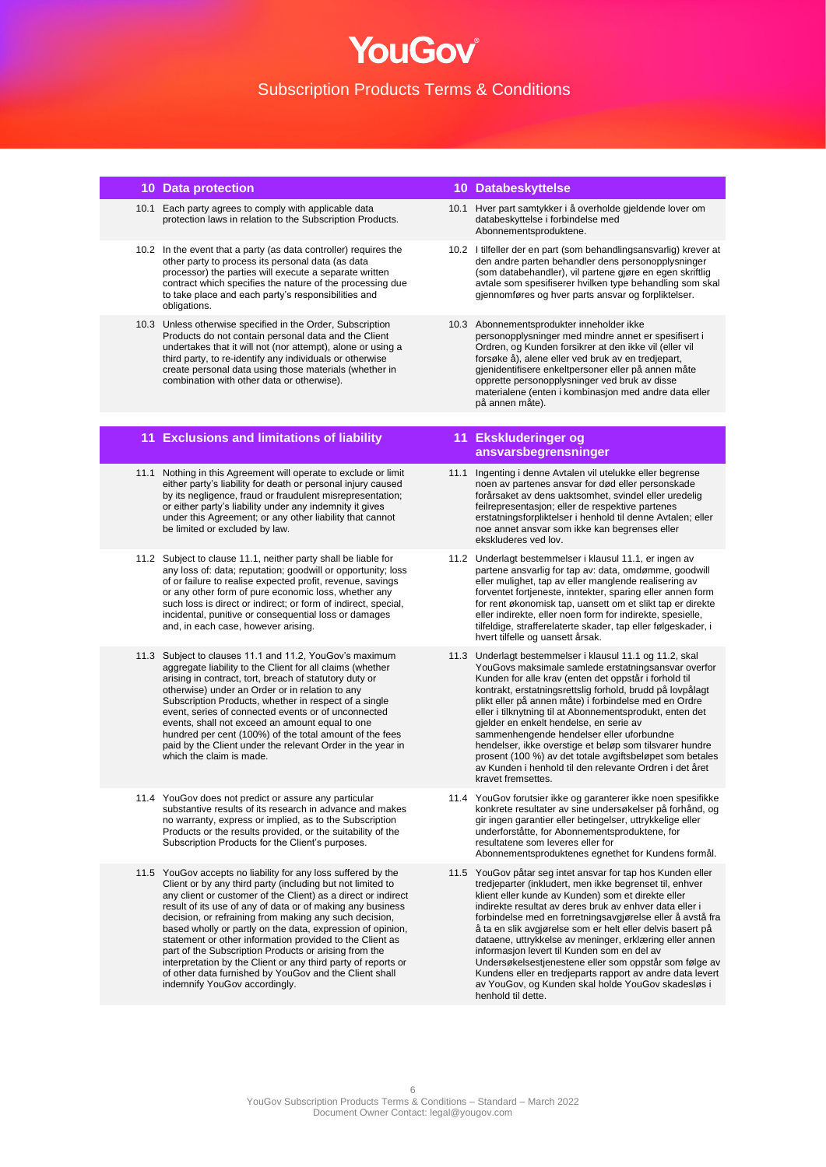## **10 Data protection 10 Databeskyttelse**

- 10.1 Each party agrees to comply with applicable data protection laws in relation to the Subscription Products.
- 10.2 In the event that a party (as data controller) requires the other party to process its personal data (as data processor) the parties will execute a separate written contract which specifies the nature of the processing due to take place and each party's responsibilities and obligations.
- 10.3 Unless otherwise specified in the Order, Subscription Products do not contain personal data and the Client undertakes that it will not (nor attempt), alone or using a third party, to re-identify any individuals or otherwise create personal data using those materials (whether in combination with other data or otherwise).

## **11 Exclusions and limitations of liability 11 Ekskluderinger og**

- 11.1 Nothing in this Agreement will operate to exclude or limit either party's liability for death or personal injury caused by its negligence, fraud or fraudulent misrepresentation; or either party's liability under any indemnity it gives under this Agreement; or any other liability that cannot be limited or excluded by law.
- 11.2 Subject to clause 11.1, neither party shall be liable for any loss of: data; reputation; goodwill or opportunity; loss of or failure to realise expected profit, revenue, savings or any other form of pure economic loss, whether any such loss is direct or indirect; or form of indirect, special, incidental, punitive or consequential loss or damages and, in each case, however arising.
- 11.3 Subject to clauses 11.1 and 11.2, YouGov's maximum aggregate liability to the Client for all claims (whether arising in contract, tort, breach of statutory duty or otherwise) under an Order or in relation to any Subscription Products, whether in respect of a single event, series of connected events or of unconnected events, shall not exceed an amount equal to one hundred per cent (100%) of the total amount of the fees paid by the Client under the relevant Order in the year in which the claim is made.
- 11.4 YouGov does not predict or assure any particular substantive results of its research in advance and makes no warranty, express or implied, as to the Subscription Products or the results provided, or the suitability of the Subscription Products for the Client's purposes.
- 11.5 YouGov accepts no liability for any loss suffered by the Client or by any third party (including but not limited to any client or customer of the Client) as a direct or indirect result of its use of any of data or of making any business decision, or refraining from making any such decision, based wholly or partly on the data, expression of opinion, statement or other information provided to the Client as part of the Subscription Products or arising from the interpretation by the Client or any third party of reports or of other data furnished by YouGov and the Client shall indemnify YouGov accordingly.

- 10.1 Hver part samtykker i å overholde gjeldende lover om databeskyttelse i forbindelse med Abonnementsproduktene.
- 10.2 I tilfeller der en part (som behandlingsansvarlig) krever at den andre parten behandler dens personopplysninger (som databehandler), vil partene gjøre en egen skriftlig avtale som spesifiserer hvilken type behandling som skal gjennomføres og hver parts ansvar og forpliktelser.
- 10.3 Abonnementsprodukter inneholder ikke personopplysninger med mindre annet er spesifisert i Ordren, og Kunden forsikrer at den ikke vil (eller vil forsøke å), alene eller ved bruk av en tredjepart, gjenidentifisere enkeltpersoner eller på annen måte opprette personopplysninger ved bruk av disse materialene (enten i kombinasjon med andre data eller på annen måte).

# **ansvarsbegrensninger**

- 11.1 Ingenting i denne Avtalen vil utelukke eller begrense noen av partenes ansvar for død eller personskade forårsaket av dens uaktsomhet, svindel eller uredelig feilrepresentasjon; eller de respektive partenes erstatningsforpliktelser i henhold til denne Avtalen; eller noe annet ansvar som ikke kan begrenses eller ekskluderes ved lov.
- 11.2 Underlagt bestemmelser i klausul 11.1, er ingen av partene ansvarlig for tap av: data, omdømme, goodwill eller mulighet, tap av eller manglende realisering av forventet fortjeneste, inntekter, sparing eller annen form for rent økonomisk tap, uansett om et slikt tap er direkte eller indirekte, eller noen form for indirekte, spesielle, tilfeldige, strafferelaterte skader, tap eller følgeskader, i hvert tilfelle og uansett årsak.
- 11.3 Underlagt bestemmelser i klausul 11.1 og 11.2, skal YouGovs maksimale samlede erstatningsansvar overfor Kunden for alle krav (enten det oppstår i forhold til kontrakt, erstatningsrettslig forhold, brudd på lovpålagt plikt eller på annen måte) i forbindelse med en Ordre eller i tilknytning til at Abonnementsprodukt, enten det gjelder en enkelt hendelse, en serie av sammenhengende hendelser eller uforbundne hendelser, ikke overstige et beløp som tilsvarer hundre prosent (100 %) av det totale avgiftsbeløpet som betales av Kunden i henhold til den relevante Ordren i det året kravet fremsettes.
- 11.4 YouGov forutsier ikke og garanterer ikke noen spesifikke konkrete resultater av sine undersøkelser på forhånd, og gir ingen garantier eller betingelser, uttrykkelige eller underforståtte, for Abonnementsproduktene, for resultatene som leveres eller for Abonnementsproduktenes egnethet for Kundens formål.
- 11.5 YouGov påtar seg intet ansvar for tap hos Kunden eller tredjeparter (inkludert, men ikke begrenset til, enhver klient eller kunde av Kunden) som et direkte eller indirekte resultat av deres bruk av enhver data eller i forbindelse med en forretningsavgjørelse eller å avstå fra å ta en slik avgjørelse som er helt eller delvis basert på dataene, uttrykkelse av meninger, erklæring eller annen informasjon levert til Kunden som en del av Undersøkelsestjenestene eller som oppstår som følge av Kundens eller en tredjeparts rapport av andre data levert av YouGov, og Kunden skal holde YouGov skadesløs i henhold til dette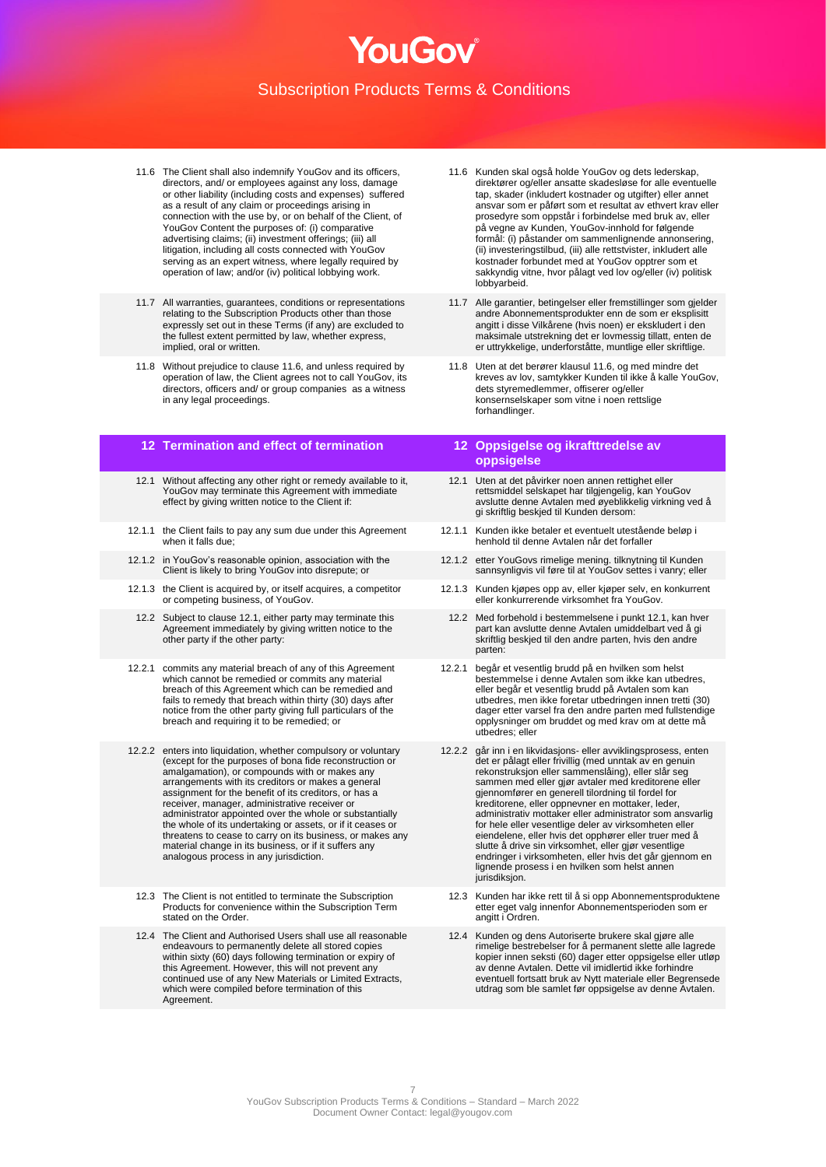

- 11.6 The Client shall also indemnify YouGov and its officers, directors, and/ or employees against any loss, damage or other liability (including costs and expenses) suffered as a result of any claim or proceedings arising in connection with the use by, or on behalf of the Client, of YouGov Content the purposes of: (i) comparative advertising claims; (ii) investment offerings; (iii) all litigation, including all costs connected with YouGov serving as an expert witness, where legally required by operation of law; and/or (iv) political lobbying work.
- 11.7 All warranties, guarantees, conditions or representations relating to the Subscription Products other than those expressly set out in these Terms (if any) are excluded to the fullest extent permitted by law, whether express, implied, oral or written.
- 11.8 Without prejudice to clause 11.6, and unless required by operation of law, the Client agrees not to call YouGov, its directors, officers and/ or group companies as a witness in any legal proceedings.

- 12.1 Without affecting any other right or remedy available to it, YouGov may terminate this Agreement with immediate effect by giving written notice to the Client if:
- 12.1.1 the Client fails to pay any sum due under this Agreement when it falls due:
- 12.1.2 in YouGov's reasonable opinion, association with the Client is likely to bring YouGov into disrepute; or
- 12.1.3 the Client is acquired by, or itself acquires, a competitor or competing business, of YouGov.
- 12.2 Subject to clause 12.1, either party may terminate this Agreement immediately by giving written notice to the other party if the other party:
- 12.2.1 commits any material breach of any of this Agreement which cannot be remedied or commits any material breach of this Agreement which can be remedied and fails to remedy that breach within thirty (30) days after notice from the other party giving full particulars of the breach and requiring it to be remedied; or
- 12.2.2 enters into liquidation, whether compulsory or voluntary (except for the purposes of bona fide reconstruction or amalgamation), or compounds with or makes any arrangements with its creditors or makes a general assignment for the benefit of its creditors, or has a receiver, manager, administrative receiver or administrator appointed over the whole or substantially the whole of its undertaking or assets, or if it ceases or threatens to cease to carry on its business, or makes any material change in its business, or if it suffers any analogous process in any jurisdiction.
- 12.3 The Client is not entitled to terminate the Subscription Products for convenience within the Subscription Term stated on the Order.
- 12.4 The Client and Authorised Users shall use all reasonable endeavours to permanently delete all stored copies within sixty (60) days following termination or expiry of this Agreement. However, this will not prevent any continued use of any New Materials or Limited Extracts, which were compiled before termination of this Agreement.
- 11.6 Kunden skal også holde YouGov og dets lederskap, direktører og/eller ansatte skadesløse for alle eventuelle tap, skader (inkludert kostnader og utgifter) eller annet ansvar som er påført som et resultat av ethvert krav eller prosedyre som oppstår i forbindelse med bruk av, eller på vegne av Kunden, YouGov-innhold for følgende formål: (i) påstander om sammenlignende annonsering, (ii) investeringstilbud, (iii) alle rettstvister, inkludert alle kostnader forbundet med at YouGov opptrer som et sakkyndig vitne, hvor pålagt ved lov og/eller (iv) politisk lobbyarbeid.
- 11.7 Alle garantier, betingelser eller fremstillinger som gjelder andre Abonnementsprodukter enn de som er eksplisitt angitt i disse Vilkårene (hvis noen) er ekskludert i den maksimale utstrekning det er lovmessig tillatt, enten de er uttrykkelige, underforståtte, muntlige eller skriftlige.
- 11.8 Uten at det berører klausul 11.6, og med mindre det kreves av lov, samtykker Kunden til ikke å kalle YouGov, dets styremedlemmer, offiserer og/eller konsernselskaper som vitne i noen rettslige forhandlinger.

## **12 Termination and effect of termination 12 Oppsigelse og ikrafttredelse av oppsigelse**

- 12.1 Uten at det påvirker noen annen rettighet eller rettsmiddel selskapet har tilgjengelig, kan YouGov avslutte denne Avtalen med øyeblikkelig virkning ved å gi skriftlig beskjed til Kunden dersom:
- 12.1.1 Kunden ikke betaler et eventuelt utestående beløp i henhold til denne Avtalen når det forfaller
- 12.1.2 etter YouGovs rimelige mening. tilknytning til Kunden sannsynligvis vil føre til at YouGov settes i vanry; eller
- 12.1.3 Kunden kjøpes opp av, eller kjøper selv, en konkurrent eller konkurrerende virksomhet fra YouGov.
- 12.2 Med forbehold i bestemmelsene i punkt 12.1, kan hver part kan avslutte denne Avtalen umiddelbart ved å gi skriftlig beskjed til den andre parten, hvis den andre parten:
- 12.2.1 begår et vesentlig brudd på en hvilken som helst bestemmelse i denne Avtalen som ikke kan utbedres, eller begår et vesentlig brudd på Avtalen som kan utbedres, men ikke foretar utbedringen innen tretti (30) dager etter varsel fra den andre parten med fullstendige opplysninger om bruddet og med krav om at dette må utbedres; eller
- 12.2.2 går inn i en likvidasjons- eller avviklingsprosess, enten det er pålagt eller frivillig (med unntak av en genuin rekonstruksjon eller sammenslåing), eller slår seg sammen med eller gjør avtaler med kreditorene eller gjennomfører en generell tilordning til fordel for kreditorene, eller oppnevner en mottaker, leder, administrativ mottaker eller administrator som ansvarlig for hele eller vesentlige deler av virksomheten eller eiendelene, eller hvis det opphører eller truer med å slutte å drive sin virksomhet, eller gjør vesentlige endringer i virksomheten, eller hvis det går gjennom en lignende prosess i en hvilken som helst annen jurisdiksjon.
	- 12.3 Kunden har ikke rett til å si opp Abonnementsproduktene etter eget valg innenfor Abonnementsperioden som er angitt i Ordren.
	- 12.4 Kunden og dens Autoriserte brukere skal gjøre alle rimelige bestrebelser for å permanent slette alle lagrede kopier innen seksti (60) dager etter oppsigelse eller utløp av denne Avtalen. Dette vil imidlertid ikke forhindre eventuell fortsatt bruk av Nytt materiale eller Begrensede utdrag som ble samlet før oppsigelse av denne Avtalen.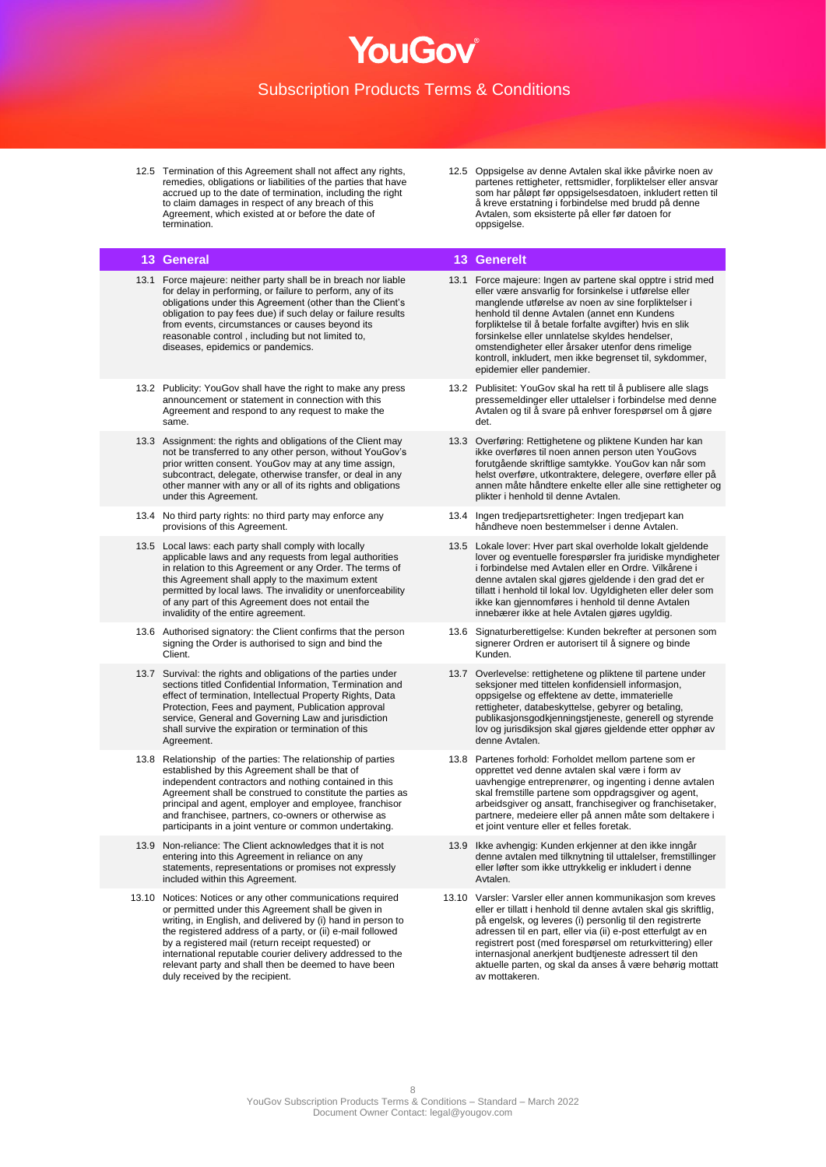12.5 Termination of this Agreement shall not affect any rights, remedies, obligations or liabilities of the parties that have accrued up to the date of termination, including the right to claim damages in respect of any breach of this Agreement, which existed at or before the date of termination.

#### **13 General 13 Generelt**

- 13.1 Force majeure: neither party shall be in breach nor liable for delay in performing, or failure to perform, any of its obligations under this Agreement (other than the Client's obligation to pay fees due) if such delay or failure results from events, circumstances or causes beyond its reasonable control , including but not limited to, diseases, epidemics or pandemics.
- 13.2 Publicity: YouGov shall have the right to make any press announcement or statement in connection with this Agreement and respond to any request to make the same.
- 13.3 Assignment: the rights and obligations of the Client may not be transferred to any other person, without YouGov's prior written consent. YouGov may at any time assign, subcontract, delegate, otherwise transfer, or deal in any other manner with any or all of its rights and obligations under this Agreement.
- 13.4 No third party rights: no third party may enforce any provisions of this Agreement.
- 13.5 Local laws: each party shall comply with locally applicable laws and any requests from legal authorities in relation to this Agreement or any Order. The terms of this Agreement shall apply to the maximum extent permitted by local laws. The invalidity or unenforceability of any part of this Agreement does not entail the invalidity of the entire agreement.
- 13.6 Authorised signatory: the Client confirms that the person signing the Order is authorised to sign and bind the Client.
- 13.7 Survival: the rights and obligations of the parties under sections titled Confidential Information, Termination and effect of termination, Intellectual Property Rights, Data Protection, Fees and payment, Publication approval service, General and Governing Law and jurisdiction shall survive the expiration or termination of this Agreement.
- 13.8 Relationship of the parties: The relationship of parties established by this Agreement shall be that of independent contractors and nothing contained in this Agreement shall be construed to constitute the parties as principal and agent, employer and employee, franchisor and franchisee, partners, co-owners or otherwise as participants in a joint venture or common undertaking.
- 13.9 Non-reliance: The Client acknowledges that it is not entering into this Agreement in reliance on any statements, representations or promises not expressly included within this Agreement.
- 13.10 Notices: Notices or any other communications required or permitted under this Agreement shall be given in writing, in English, and delivered by (i) hand in person to the registered address of a party, or (ii) e-mail followed by a registered mail (return receipt requested) or international reputable courier delivery addressed to the relevant party and shall then be deemed to have been duly received by the recipient.

12.5 Oppsigelse av denne Avtalen skal ikke påvirke noen av partenes rettigheter, rettsmidler, forpliktelser eller ansvar som har påløpt før oppsigelsesdatoen, inkludert retten til å kreve erstatning i forbindelse med brudd på denne Avtalen, som eksisterte på eller før datoen for oppsigelse.

- 13.1 Force majeure: Ingen av partene skal opptre i strid med eller være ansvarlig for forsinkelse i utførelse eller manglende utførelse av noen av sine forpliktelser i henhold til denne Avtalen (annet enn Kundens forpliktelse til å betale forfalte avgifter) hvis en slik forsinkelse eller unnlatelse skyldes hendelser, omstendigheter eller årsaker utenfor dens rimelige kontroll, inkludert, men ikke begrenset til, sykdommer, epidemier eller pandemier.
- 13.2 Publisitet: YouGov skal ha rett til å publisere alle slags pressemeldinger eller uttalelser i forbindelse med denne Avtalen og til å svare på enhver forespørsel om å gjøre det.
- 13.3 Overføring: Rettighetene og pliktene Kunden har kan ikke overføres til noen annen person uten YouGovs forutgående skriftlige samtykke. YouGov kan når som helst overføre, utkontraktere, delegere, overføre eller på annen måte håndtere enkelte eller alle sine rettigheter og plikter i henhold til denne Avtalen.
- 13.4 Ingen tredjepartsrettigheter: Ingen tredjepart kan håndheve noen bestemmelser i denne Avtalen.
- 13.5 Lokale lover: Hver part skal overholde lokalt gjeldende lover og eventuelle forespørsler fra juridiske myndigheter i forbindelse med Avtalen eller en Ordre. Vilkårene i denne avtalen skal gjøres gjeldende i den grad det er tillatt i henhold til lokal lov. Ugyldigheten eller deler som ikke kan gjennomføres i henhold til denne Avtalen innebærer ikke at hele Avtalen gjøres ugyldig.
- 13.6 Signaturberettigelse: Kunden bekrefter at personen som signerer Ordren er autorisert til å signere og binde Kunden.
- 13.7 Overlevelse: rettighetene og pliktene til partene under seksjoner med tittelen konfidensiell informasjon, oppsigelse og effektene av dette, immaterielle rettigheter, databeskyttelse, gebyrer og betaling, publikasjonsgodkjenningstjeneste, generell og styrende lov og jurisdiksjon skal gjøres gjeldende etter opphør av denne Avtalen.
- 13.8 Partenes forhold: Forholdet mellom partene som er opprettet ved denne avtalen skal være i form av uavhengige entreprenører, og ingenting i denne avtalen skal fremstille partene som oppdragsgiver og agent, arbeidsgiver og ansatt, franchisegiver og franchisetaker, partnere, medeiere eller på annen måte som deltakere i et joint venture eller et felles foretak.
- 13.9 Ikke avhengig: Kunden erkjenner at den ikke inngår denne avtalen med tilknytning til uttalelser, fremstillinger eller løfter som ikke uttrykkelig er inkludert i denne Avtalen.
- 13.10 Varsler: Varsler eller annen kommunikasjon som kreves eller er tillatt i henhold til denne avtalen skal gis skriftlig, på engelsk, og leveres (i) personlig til den registrerte adressen til en part, eller via (ii) e-post etterfulgt av en registrert post (med forespørsel om returkvittering) eller internasjonal anerkjent budtjeneste adressert til den aktuelle parten, og skal da anses å være behørig mottatt av mottakeren.